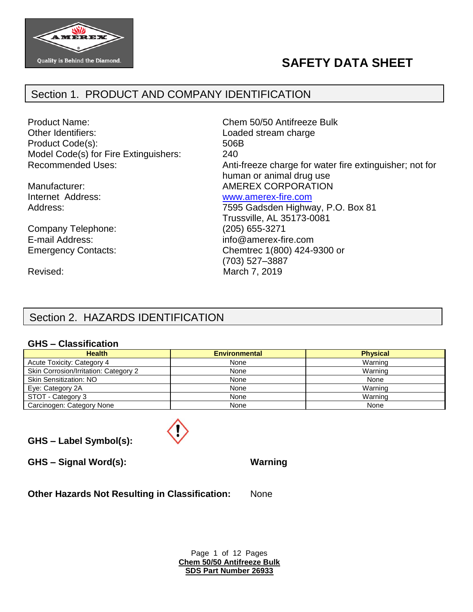

# **SAFETY DATA SHEET**

# Section 1. PRODUCT AND COMPANY IDENTIFICATION

Product Name: Chem 50/50 Antifreeze Bulk Other Identifiers: Contract Contract Contract Loaded stream charge Product Code(s): 506B Model Code(s) for Fire Extinguishers: 240

Company Telephone: (205) 655-3271

Recommended Uses: Anti-freeze charge for water fire extinguisher; not for human or animal drug use Manufacturer:  $\blacksquare$  AMEREX CORPORATION Internet Address: [www.amerex-fire.com](http://www.amerex-fire.com/) Address: Mathematic Mathematic Metal Control of T595 Gadsden Highway, P.O. Box 81 Trussville, AL 35173-0081

E-mail Address: info@amerex-fire.com Emergency Contacts: Chemtrec 1(800) 424-9300 or (703) 527–3887 Revised: March 7, 2019

# Section 2. HAZARDS IDENTIFICATION

#### **GHS – Classification**

| <b>Health</b>                         | <b>Environmental</b> | <b>Physical</b> |
|---------------------------------------|----------------------|-----------------|
| Acute Toxicity: Category 4            | None                 | Warning         |
| Skin Corrosion/Irritation: Category 2 | None                 | Warning         |
| <b>Skin Sensitization: NO</b>         | None                 | None            |
| Eye: Category 2A                      | None                 | Warning         |
| STOT - Category 3                     | None                 | Warning         |
| Carcinogen: Category None             | None                 | None            |

**GHS – Label Symbol(s):**

**GHS – Signal Word(s): Warning**

**Other Hazards Not Resulting in Classification:** None

Page 1 of 12 Pages **Chem 50/50 Antifreeze Bulk SDS Part Number 26933**

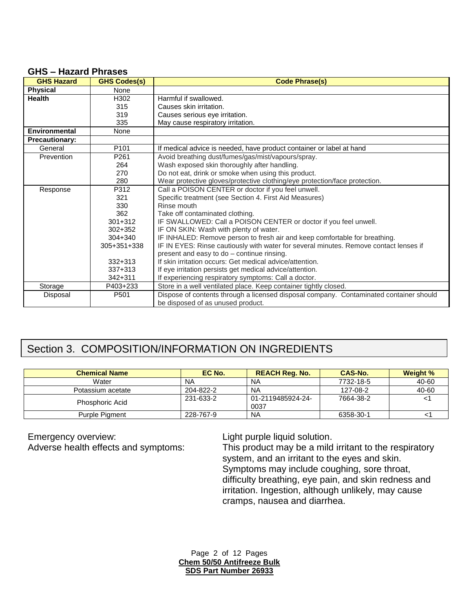### **GHS – Hazard Phrases**

| <b>GHS Hazard</b>     | <b>GHS Codes(s)</b>                                        | <b>Code Phrase(s)</b>                                                                  |
|-----------------------|------------------------------------------------------------|----------------------------------------------------------------------------------------|
| <b>Physical</b>       | None                                                       |                                                                                        |
| <b>Health</b>         | H302                                                       | Harmful if swallowed.                                                                  |
|                       | 315                                                        | Causes skin irritation.                                                                |
|                       | 319                                                        | Causes serious eye irritation.                                                         |
|                       | 335                                                        | May cause respiratory irritation.                                                      |
| <b>Environmental</b>  | None                                                       |                                                                                        |
| <b>Precautionary:</b> |                                                            |                                                                                        |
| General               | P <sub>101</sub>                                           | If medical advice is needed, have product container or label at hand                   |
| Prevention            | P261                                                       | Avoid breathing dust/fumes/gas/mist/vapours/spray.                                     |
|                       | 264                                                        | Wash exposed skin thoroughly after handling.                                           |
|                       | 270                                                        | Do not eat, drink or smoke when using this product.                                    |
|                       | 280                                                        | Wear protective gloves/protective clothing/eye protection/face protection.             |
| Response              | Call a POISON CENTER or doctor if you feel unwell.<br>P312 |                                                                                        |
|                       | 321                                                        | Specific treatment (see Section 4. First Aid Measures)                                 |
|                       | 330                                                        | Rinse mouth                                                                            |
|                       | 362                                                        | Take off contaminated clothing.                                                        |
|                       | $301 + 312$                                                | IF SWALLOWED: Call a POISON CENTER or doctor if you feel unwell.                       |
|                       | $302 + 352$                                                | IF ON SKIN: Wash with plenty of water.                                                 |
|                       | $304 + 340$                                                | IF INHALED: Remove person to fresh air and keep comfortable for breathing.             |
|                       | 305+351+338                                                | IF IN EYES: Rinse cautiously with water for several minutes. Remove contact lenses if  |
|                       |                                                            | present and easy to do - continue rinsing.                                             |
|                       | $332 + 313$                                                | If skin irritation occurs: Get medical advice/attention.                               |
|                       | $337 + 313$                                                | If eye irritation persists get medical advice/attention.                               |
|                       | $342 + 311$                                                | If experiencing respiratory symptoms: Call a doctor.                                   |
| Storage               | P403+233                                                   | Store in a well ventilated place. Keep container tightly closed.                       |
| Disposal              | P501                                                       | Dispose of contents through a licensed disposal company. Contaminated container should |
|                       |                                                            | be disposed of as unused product.                                                      |

# Section 3. COMPOSITION/INFORMATION ON INGREDIENTS

| <b>Chemical Name</b>   | EC No.    | <b>REACH Reg. No.</b>     | CAS-No.   | <b>Weight %</b> |
|------------------------|-----------|---------------------------|-----------|-----------------|
| Water                  | <b>NA</b> | <b>NA</b>                 | 7732-18-5 | 40-60           |
| Potassium acetate      | 204-822-2 | <b>NA</b>                 | 127-08-2  | 40-60           |
| <b>Phosphoric Acid</b> | 231-633-2 | 01-2119485924-24-<br>0037 | 7664-38-2 |                 |
| <b>Purple Pigment</b>  | 228-767-9 | <b>NA</b>                 | 6358-30-1 |                 |

Emergency overview:<br>Adverse health effects and symptoms: This product may be a mild

This product may be a mild irritant to the respiratory system, and an irritant to the eyes and skin. Symptoms may include coughing, sore throat, difficulty breathing, eye pain, and skin redness and irritation. Ingestion, although unlikely, may cause cramps, nausea and diarrhea.

Page 2 of 12 Pages **Chem 50/50 Antifreeze Bulk SDS Part Number 26933**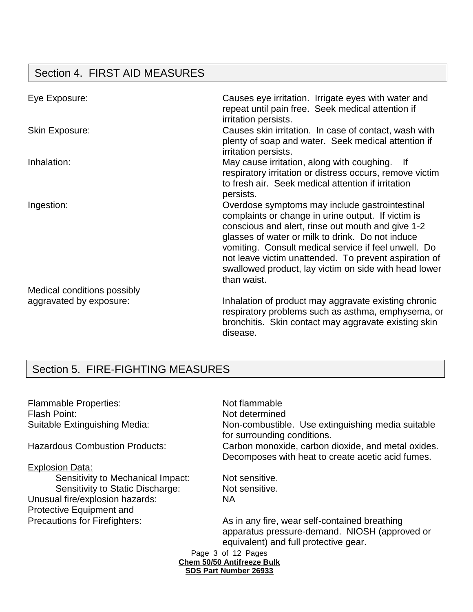# Section 4. FIRST AID MEASURES

| Eye Exposure:                                          | Causes eye irritation. Irrigate eyes with water and<br>repeat until pain free. Seek medical attention if<br>irritation persists.                                                                                                                                                                                                                                                                       |
|--------------------------------------------------------|--------------------------------------------------------------------------------------------------------------------------------------------------------------------------------------------------------------------------------------------------------------------------------------------------------------------------------------------------------------------------------------------------------|
| <b>Skin Exposure:</b>                                  | Causes skin irritation. In case of contact, wash with<br>plenty of soap and water. Seek medical attention if<br>irritation persists.                                                                                                                                                                                                                                                                   |
| Inhalation:                                            | May cause irritation, along with coughing. If<br>respiratory irritation or distress occurs, remove victim<br>to fresh air. Seek medical attention if irritation<br>persists.                                                                                                                                                                                                                           |
| Ingestion:                                             | Overdose symptoms may include gastrointestinal<br>complaints or change in urine output. If victim is<br>conscious and alert, rinse out mouth and give 1-2<br>glasses of water or milk to drink. Do not induce<br>vomiting. Consult medical service if feel unwell. Do<br>not leave victim unattended. To prevent aspiration of<br>swallowed product, lay victim on side with head lower<br>than waist. |
| Medical conditions possibly<br>aggravated by exposure: | Inhalation of product may aggravate existing chronic<br>respiratory problems such as asthma, emphysema, or<br>bronchitis. Skin contact may aggravate existing skin<br>disease.                                                                                                                                                                                                                         |

# Section 5. FIRE-FIGHTING MEASURES

Flammable Properties: Not flammable Flash Point: Not determined

#### Explosion Data:

Sensitivity to Mechanical Impact: Not sensitive. Sensitivity to Static Discharge: Not sensitive. Unusual fire/explosion hazards: NA Protective Equipment and

Suitable Extinguishing Media: Non-combustible. Use extinguishing media suitable for surrounding conditions. Hazardous Combustion Products: Carbon monoxide, carbon dioxide, and metal oxides. Decomposes with heat to create acetic acid fumes.

Precautions for Firefighters: As in any fire, wear self-contained breathing apparatus pressure-demand. NIOSH (approved or equivalent) and full protective gear.

Page 3 of 12 Pages **Chem 50/50 Antifreeze Bulk SDS Part Number 26933**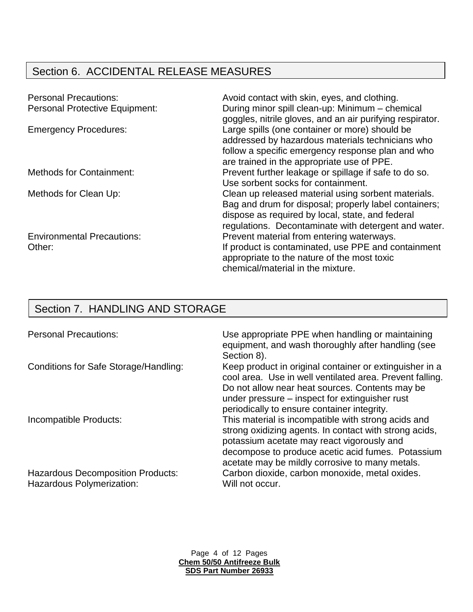# Section 6. ACCIDENTAL RELEASE MEASURES

| <b>Personal Precautions:</b>          | Avoid contact with skin, eyes, and clothing.              |
|---------------------------------------|-----------------------------------------------------------|
| <b>Personal Protective Equipment:</b> | During minor spill clean-up: Minimum - chemical           |
|                                       | goggles, nitrile gloves, and an air purifying respirator. |
| <b>Emergency Procedures:</b>          | Large spills (one container or more) should be            |
|                                       | addressed by hazardous materials technicians who          |
|                                       | follow a specific emergency response plan and who         |
|                                       | are trained in the appropriate use of PPE.                |
| <b>Methods for Containment:</b>       | Prevent further leakage or spillage if safe to do so.     |
|                                       | Use sorbent socks for containment.                        |
| Methods for Clean Up:                 | Clean up released material using sorbent materials.       |
|                                       | Bag and drum for disposal; properly label containers;     |
|                                       | dispose as required by local, state, and federal          |
|                                       | regulations. Decontaminate with detergent and water.      |
| <b>Environmental Precautions:</b>     | Prevent material from entering waterways.                 |
| Other:                                | If product is contaminated, use PPE and containment       |
|                                       | appropriate to the nature of the most toxic               |
|                                       | chemical/material in the mixture.                         |

# Section 7. HANDLING AND STORAGE

Hazardous Polymerization: Will not occur.

Personal Precautions: Use appropriate PPE when handling or maintaining equipment, and wash thoroughly after handling (see Section 8).

Conditions for Safe Storage/Handling: Keep product in original container or extinguisher in a cool area. Use in well ventilated area. Prevent falling. Do not allow near heat sources. Contents may be under pressure – inspect for extinguisher rust periodically to ensure container integrity. Incompatible Products: This material is incompatible with strong acids and strong oxidizing agents. In contact with strong acids, potassium acetate may react vigorously and decompose to produce acetic acid fumes. Potassium acetate may be mildly corrosive to many metals. Hazardous Decomposition Products: Carbon dioxide, carbon monoxide, metal oxides.

> Page 4 of 12 Pages **Chem 50/50 Antifreeze Bulk SDS Part Number 26933**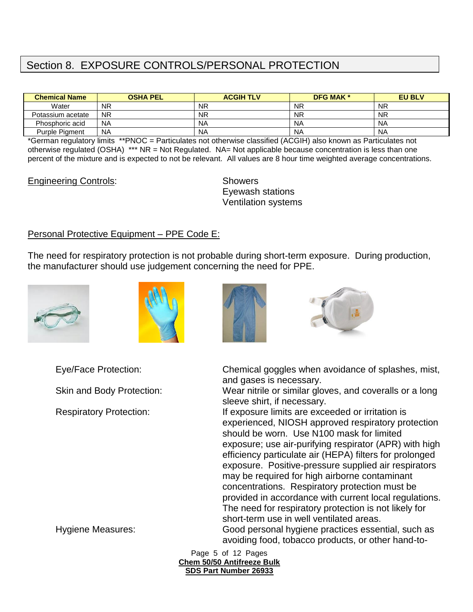# Section 8. EXPOSURE CONTROLS/PERSONAL PROTECTION

| <b>Chemical Name</b> | <b>OSHA PEL</b> | <b>ACGIH TLV</b> | <b>DFG MAK *</b> | <b>EU BLV</b> |
|----------------------|-----------------|------------------|------------------|---------------|
| Water                | <b>NR</b>       | <b>NR</b>        | <b>NR</b>        | <b>NR</b>     |
| Potassium acetate    | <b>NR</b>       | <b>NR</b>        | <b>NR</b>        | <b>NR</b>     |
| Phosphoric acid      | <b>NA</b>       | <b>NA</b>        | <b>NA</b>        | <b>NA</b>     |
| Purple Pigment       | <b>NA</b>       | <b>NA</b>        | N <sub>A</sub>   | <b>NA</b>     |

\*German regulatory limits \*\*PNOC = Particulates not otherwise classified (ACGIH) also known as Particulates not otherwise regulated (OSHA) \*\*\* NR = Not Regulated. NA= Not applicable because concentration is less than one percent of the mixture and is expected to not be relevant. All values are 8 hour time weighted average concentrations.

#### Engineering Controls: Showers

Eyewash stations Ventilation systems

#### Personal Protective Equipment – PPE Code E:

The need for respiratory protection is not probable during short-term exposure. During production, the manufacturer should use judgement concerning the need for PPE.









Eye/Face Protection: Chemical goggles when avoidance of splashes, mist, and gases is necessary.

Skin and Body Protection: Wear nitrile or similar gloves, and coveralls or a long sleeve shirt, if necessary.

Respiratory Protection: If exposure limits are exceeded or irritation is experienced, NIOSH approved respiratory protection should be worn. Use N100 mask for limited exposure; use air-purifying respirator (APR) with high efficiency particulate air (HEPA) filters for prolonged exposure. Positive-pressure supplied air respirators may be required for high airborne contaminant concentrations. Respiratory protection must be provided in accordance with current local regulations. The need for respiratory protection is not likely for short-term use in well ventilated areas. Hygiene Measures: Good personal hygiene practices essential, such as

avoiding food, tobacco products, or other hand-to-

Page 5 of 12 Pages **Chem 50/50 Antifreeze Bulk SDS Part Number 26933**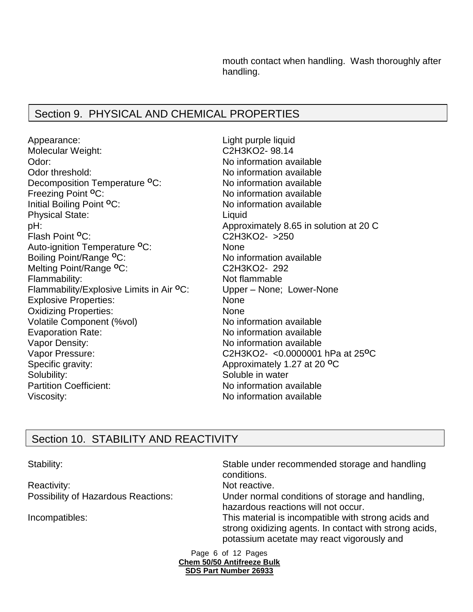mouth contact when handling. Wash thoroughly after handling.

# Section 9. PHYSICAL AND CHEMICAL PROPERTIES

Appearance: Light purple liquid Molecular Weight: C2H3KO2- 98.14 Odor: Contract of the Contract of the Mondon available of the Mondon available of the Mondon available of the Mondon available of the Mondon available of the Mondon available of the Mondon available of the Mondon available Odor threshold: No information available Decomposition Temperature <sup>o</sup>C: No information available<br>
Freezing Point <sup>o</sup>C: No information available Initial Boiling Point <sup>o</sup>C: No information available Physical State: Liquid pH:<br>Flash Point <sup>o</sup>C: The Matter of the Approximately 8.65 in solution at 20 C<br>C2H3KO2- >250 Auto-ignition Temperature **<sup>O</sup>**C: None Boiling Point/Range <sup>o</sup>C: No information available Melting Point/Range **<sup>O</sup>**C: C2H3KO2- 292 Flammability: Not flammable Flammability/Explosive Limits in Air **<sup>O</sup>**C: Upper – None; Lower-None Explosive Properties: None Oxidizing Properties: None Volatile Component (%vol) No information available Evaporation Rate: No information available Vapor Density: Vapor Density: Vapor Pressure: C2H3KO2- <0.0000001 hPa at 25**<sup>O</sup>**C Specific gravity: Specific gravity: Approximately 1.27 at 20<sup>o</sup>C Solubility: Soluble in water Partition Coefficient:  $\blacksquare$ Viscosity:  $\blacksquare$ 

No information available Flash Point **<sup>O</sup>**C: C2H3KO2- >250

# Section 10. STABILITY AND REACTIVITY

Reactivity: Not reactive.

Stability: Stable under recommended storage and handling conditions. Possibility of Hazardous Reactions: Under normal conditions of storage and handling, hazardous reactions will not occur. Incompatibles: This material is incompatible with strong acids and strong oxidizing agents. In contact with strong acids, potassium acetate may react vigorously and

Page 6 of 12 Pages **Chem 50/50 Antifreeze Bulk SDS Part Number 26933**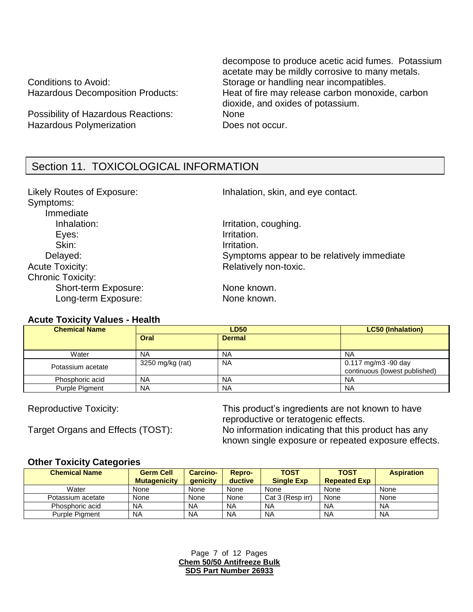Possibility of Hazardous Reactions: None Hazardous Polymerization **Example 20 Figure 10** Does not occur.

decompose to produce acetic acid fumes. Potassium acetate may be mildly corrosive to many metals. Conditions to Avoid: Storage or handling near incompatibles. Hazardous Decomposition Products: Heat of fire may release carbon monoxide, carbon dioxide, and oxides of potassium.

# Section 11. TOXICOLOGICAL INFORMATION

Symptoms: Immediate Inhalation: Inhalation: Inhalation, coughing. Eyes: **Irritation**. Skin: Irritation. Acute Toxicity: Acute Toxicity: Acute Toxicity: Chronic Toxicity: Short-term Exposure: None known. Long-term Exposure: None known.

Likely Routes of Exposure: Inhalation, skin, and eye contact.

Delayed: Symptoms appear to be relatively immediate

#### **Acute Toxicity Values - Health**

| <b>Chemical Name</b> | <b>LD50</b>      |               | <b>LC50 (Inhalation)</b>                             |
|----------------------|------------------|---------------|------------------------------------------------------|
|                      | Oral             | <b>Dermal</b> |                                                      |
| Water                | <b>NA</b>        | <b>NA</b>     | <b>NA</b>                                            |
| Potassium acetate    | 3250 mg/kg (rat) | <b>NA</b>     | 0.117 mg/m3 -90 day<br>continuous (lowest published) |
| Phosphoric acid      | <b>NA</b>        | <b>NA</b>     | <b>NA</b>                                            |
| Purple Pigment       | <b>NA</b>        | <b>NA</b>     | <b>NA</b>                                            |

Reproductive Toxicity: This product's ingredients are not known to have reproductive or teratogenic effects. Target Organs and Effects (TOST): No information indicating that this product has any known single exposure or repeated exposure effects.

#### **Other Toxicity Categories**

| <b>Chemical Name</b>  | <b>Germ Cell</b><br><b>Mutagenicity</b> | <b>Carcino-</b><br>qenicity | Repro-<br>ductive | <b>TOST</b><br><b>Single Exp</b> | <b>TOST</b><br><b>Repeated Exp</b> | <b>Aspiration</b> |
|-----------------------|-----------------------------------------|-----------------------------|-------------------|----------------------------------|------------------------------------|-------------------|
| Water                 | None                                    | None                        | None              | None                             | None                               | None              |
| Potassium acetate     | None                                    | None                        | None              | Cat 3 (Resp irr)                 | None                               | None              |
| Phosphoric acid       | <b>NA</b>                               | <b>NA</b>                   | <b>NA</b>         | <b>NA</b>                        | <b>NA</b>                          | <b>NA</b>         |
| <b>Purple Piament</b> | NA                                      | <b>NA</b>                   | <b>NA</b>         | <b>NA</b>                        | <b>NA</b>                          | <b>NA</b>         |

Page 7 of 12 Pages **Chem 50/50 Antifreeze Bulk SDS Part Number 26933**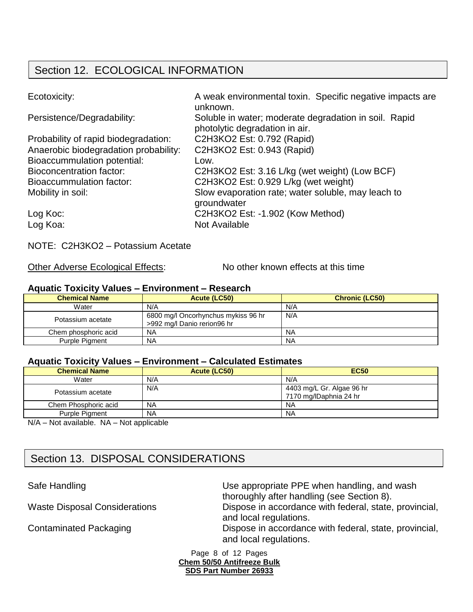# Section 12. ECOLOGICAL INFORMATION

| Ecotoxicity:                          | A weak environmental toxin. Specific negative impacts are<br>unknown.                   |
|---------------------------------------|-----------------------------------------------------------------------------------------|
| Persistence/Degradability:            | Soluble in water; moderate degradation in soil. Rapid<br>photolytic degradation in air. |
| Probability of rapid biodegradation:  | C2H3KO2 Est: 0.792 (Rapid)                                                              |
| Anaerobic biodegradation probability: | C2H3KO2 Est: 0.943 (Rapid)                                                              |
| <b>Bioaccummulation potential:</b>    | Low.                                                                                    |
| <b>Bioconcentration factor:</b>       | C2H3KO2 Est: 3.16 L/kg (wet weight) (Low BCF)                                           |
| Bioaccummulation factor:              | C2H3KO2 Est: 0.929 L/kg (wet weight)                                                    |
| Mobility in soil:                     | Slow evaporation rate; water soluble, may leach to<br>groundwater                       |
| Log Koc:                              | C2H3KO2 Est: -1.902 (Kow Method)                                                        |
| Log Koa:                              | <b>Not Available</b>                                                                    |

NOTE: C2H3KO2 – Potassium Acetate

Other Adverse Ecological Effects: No other known effects at this time

#### **Aquatic Toxicity Values – Environment – Research**

| <b>Chemical Name</b> | Acute (LC50)                                                       | <b>Chronic (LC50)</b> |
|----------------------|--------------------------------------------------------------------|-----------------------|
| Water                | N/A                                                                | N/A                   |
| Potassium acetate    | 6800 mg/l Oncorhynchus mykiss 96 hr<br>>992 mg/l Danio rerion96 hr | N/A                   |
| Chem phosphoric acid | NA                                                                 | <b>NA</b>             |
| Purple Pigment       | <b>NA</b>                                                          | <b>NA</b>             |

#### **Aquatic Toxicity Values – Environment – Calculated Estimates**

| <b>Chemical Name</b> | Acute (LC50) | <b>EC50</b>                                         |
|----------------------|--------------|-----------------------------------------------------|
| Water                | N/A          | N/A                                                 |
| Potassium acetate    | N/A          | 4403 mg/L Gr. Algae 96 hr<br>7170 mg/lDaphnia 24 hr |
| Chem Phosphoric acid | <b>NA</b>    | ΝA                                                  |
| Purple Pigment       | <b>NA</b>    | <b>NA</b>                                           |
| .                    | .            |                                                     |

N/A – Not available. NA – Not applicable

# Section 13. DISPOSAL CONSIDERATIONS

Safe Handling **EXECUTE:** Use appropriate PPE when handling, and wash thoroughly after handling (see Section 8). Waste Disposal Considerations Dispose in accordance with federal, state, provincial, and local regulations. Contaminated Packaging **Dispose in accordance with federal, state, provincial,** and local regulations.

> Page 8 of 12 Pages **Chem 50/50 Antifreeze Bulk SDS Part Number 26933**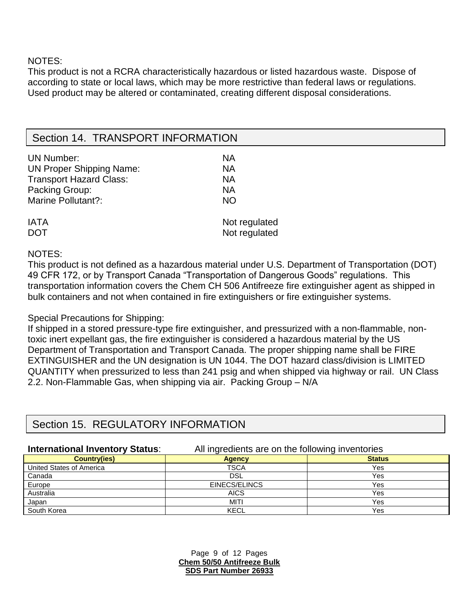NOTES:

This product is not a RCRA characteristically hazardous or listed hazardous waste. Dispose of according to state or local laws, which may be more restrictive than federal laws or regulations. Used product may be altered or contaminated, creating different disposal considerations.

# Section 14. TRANSPORT INFORMATION

| <b>UN Number:</b>               | <b>NA</b>     |
|---------------------------------|---------------|
| <b>UN Proper Shipping Name:</b> | <b>NA</b>     |
| <b>Transport Hazard Class:</b>  | <b>NA</b>     |
| Packing Group:                  | <b>NA</b>     |
| Marine Pollutant?:              | <b>NO</b>     |
| <b>IATA</b>                     | Not regulated |
| <b>DOT</b>                      | Not regulated |

NOTES:

This product is not defined as a hazardous material under U.S. Department of Transportation (DOT) 49 CFR 172, or by Transport Canada "Transportation of Dangerous Goods" regulations. This transportation information covers the Chem CH 506 Antifreeze fire extinguisher agent as shipped in bulk containers and not when contained in fire extinguishers or fire extinguisher systems.

#### Special Precautions for Shipping:

If shipped in a stored pressure-type fire extinguisher, and pressurized with a non-flammable, nontoxic inert expellant gas, the fire extinguisher is considered a hazardous material by the US Department of Transportation and Transport Canada. The proper shipping name shall be FIRE EXTINGUISHER and the UN designation is UN 1044. The DOT hazard class/division is LIMITED QUANTITY when pressurized to less than 241 psig and when shipped via highway or rail. UN Class 2.2. Non-Flammable Gas, when shipping via air. Packing Group – N/A

# Section 15. REGULATORY INFORMATION

**International Inventory Status**: All ingredients are on the following inventories

| ------                   |               |               |
|--------------------------|---------------|---------------|
| <b>Country(ies)</b>      | <b>Agency</b> | <b>Status</b> |
| United States of America | TSCA          | Yes           |
| Canada                   | DSL           | Yes           |
| Europe                   | EINECS/ELINCS | Yes           |
| Australia                | <b>AICS</b>   | Yes           |
| Japan                    | MITI          | Yes           |
| South Korea              | KECL          | Yes           |

Page 9 of 12 Pages **Chem 50/50 Antifreeze Bulk SDS Part Number 26933**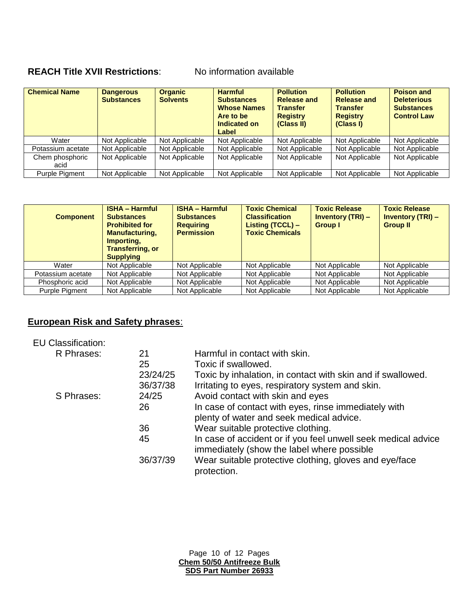# **REACH Title XVII Restrictions**: No information available

| <b>Chemical Name</b>    | <b>Dangerous</b><br><b>Substances</b> | <b>Organic</b><br><b>Solvents</b> | <b>Harmful</b><br><b>Substances</b><br><b>Whose Names</b><br>Are to be<br>Indicated on<br>Label | <b>Pollution</b><br><b>Release and</b><br><b>Transfer</b><br><b>Registry</b><br>(Class II) | <b>Pollution</b><br><b>Release and</b><br><b>Transfer</b><br><b>Registry</b><br>(Class I) | <b>Poison and</b><br><b>Deleterious</b><br><b>Substances</b><br><b>Control Law</b> |
|-------------------------|---------------------------------------|-----------------------------------|-------------------------------------------------------------------------------------------------|--------------------------------------------------------------------------------------------|-------------------------------------------------------------------------------------------|------------------------------------------------------------------------------------|
| Water                   | Not Applicable                        | Not Applicable                    | Not Applicable                                                                                  | Not Applicable                                                                             | Not Applicable                                                                            | Not Applicable                                                                     |
| Potassium acetate       | Not Applicable                        | Not Applicable                    | Not Applicable                                                                                  | Not Applicable                                                                             | Not Applicable                                                                            | Not Applicable                                                                     |
| Chem phosphoric<br>acid | Not Applicable                        | Not Applicable                    | Not Applicable                                                                                  | Not Applicable                                                                             | Not Applicable                                                                            | Not Applicable                                                                     |
| <b>Purple Pigment</b>   | Not Applicable                        | Not Applicable                    | Not Applicable                                                                                  | Not Applicable                                                                             | Not Applicable                                                                            | Not Applicable                                                                     |

| <b>Component</b>  | <b>ISHA - Harmful</b><br><b>Substances</b><br><b>Prohibited for</b><br><b>Manufacturing,</b><br>Importing,<br><b>Transferring, or</b><br><b>Supplying</b> | <b>ISHA - Harmful</b><br><b>Substances</b><br><b>Requiring</b><br><b>Permission</b> | <b>Toxic Chemical</b><br><b>Classification</b><br>Listing (TCCL) -<br><b>Toxic Chemicals</b> | <b>Toxic Release</b><br><b>Inventory (TRI) –</b><br><b>Group I</b> | <b>Toxic Release</b><br><b>Inventory (TRI) -</b><br><b>Group II</b> |
|-------------------|-----------------------------------------------------------------------------------------------------------------------------------------------------------|-------------------------------------------------------------------------------------|----------------------------------------------------------------------------------------------|--------------------------------------------------------------------|---------------------------------------------------------------------|
| Water             | Not Applicable                                                                                                                                            | Not Applicable                                                                      | Not Applicable                                                                               | Not Applicable                                                     | Not Applicable                                                      |
| Potassium acetate | Not Applicable                                                                                                                                            | Not Applicable                                                                      | Not Applicable                                                                               | Not Applicable                                                     | Not Applicable                                                      |
| Phosphoric acid   | Not Applicable                                                                                                                                            | Not Applicable                                                                      | Not Applicable                                                                               | Not Applicable                                                     | Not Applicable                                                      |
| Purple Pigment    | Not Applicable                                                                                                                                            | Not Applicable                                                                      | Not Applicable                                                                               | Not Applicable                                                     | Not Applicable                                                      |

## **European Risk and Safety phrases**:

| <b>EU Classification:</b> |          |                                                               |
|---------------------------|----------|---------------------------------------------------------------|
| R Phrases:                | 21       | Harmful in contact with skin.                                 |
|                           | 25       | Toxic if swallowed.                                           |
|                           | 23/24/25 | Toxic by inhalation, in contact with skin and if swallowed.   |
|                           | 36/37/38 | Irritating to eyes, respiratory system and skin.              |
| S Phrases:                | 24/25    | Avoid contact with skin and eyes                              |
|                           | 26       | In case of contact with eyes, rinse immediately with          |
|                           |          | plenty of water and seek medical advice.                      |
|                           | 36       | Wear suitable protective clothing.                            |
|                           | 45       | In case of accident or if you feel unwell seek medical advice |
|                           |          | immediately (show the label where possible                    |
|                           | 36/37/39 | Wear suitable protective clothing, gloves and eye/face        |
|                           |          | protection.                                                   |

Page 10 of 12 Pages **Chem 50/50 Antifreeze Bulk SDS Part Number 26933**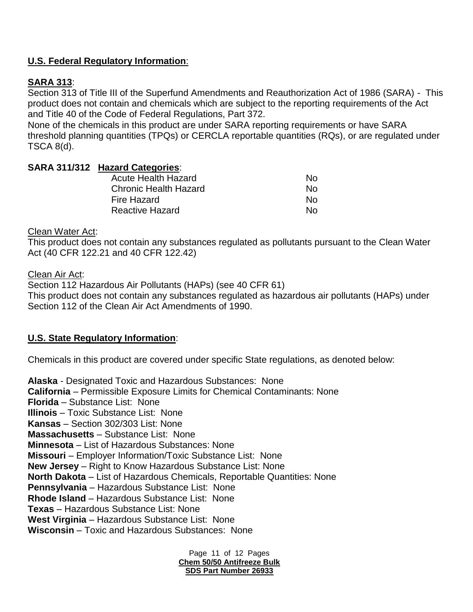## **U.S. Federal Regulatory Information**:

## **SARA 313**:

Section 313 of Title III of the Superfund Amendments and Reauthorization Act of 1986 (SARA) - This product does not contain and chemicals which are subject to the reporting requirements of the Act and Title 40 of the Code of Federal Regulations, Part 372.

None of the chemicals in this product are under SARA reporting requirements or have SARA threshold planning quantities (TPQs) or CERCLA reportable quantities (RQs), or are regulated under TSCA 8(d).

#### **SARA 311/312 Hazard Categories**:

| N∩ |
|----|
| N∩ |
| N∩ |
| N∩ |
|    |

#### Clean Water Act:

This product does not contain any substances regulated as pollutants pursuant to the Clean Water Act (40 CFR 122.21 and 40 CFR 122.42)

Clean Air Act:

Section 112 Hazardous Air Pollutants (HAPs) (see 40 CFR 61) This product does not contain any substances regulated as hazardous air pollutants (HAPs) under Section 112 of the Clean Air Act Amendments of 1990.

#### **U.S. State Regulatory Information**:

Chemicals in this product are covered under specific State regulations, as denoted below:

**Alaska** - Designated Toxic and Hazardous Substances: None **California** – Permissible Exposure Limits for Chemical Contaminants: None **Florida** – Substance List: None **Illinois** – Toxic Substance List: None **Kansas** – Section 302/303 List: None **Massachusetts** – Substance List: None **Minnesota** – List of Hazardous Substances: None **Missouri** – Employer Information/Toxic Substance List: None **New Jersey** – Right to Know Hazardous Substance List: None **North Dakota** – List of Hazardous Chemicals, Reportable Quantities: None **Pennsylvania** – Hazardous Substance List: None **Rhode Island** – Hazardous Substance List: None **Texas** – Hazardous Substance List: None **West Virginia** – Hazardous Substance List: None **Wisconsin** – Toxic and Hazardous Substances: None

> Page 11 of 12 Pages **Chem 50/50 Antifreeze Bulk SDS Part Number 26933**